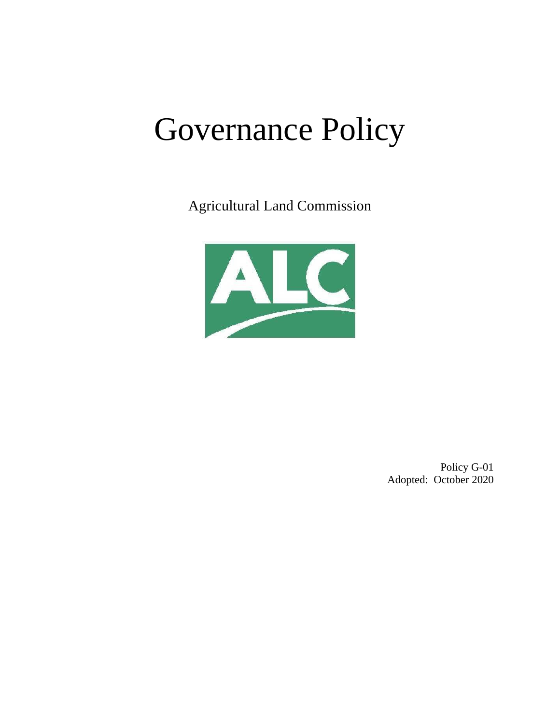# Governance Policy

Agricultural Land Commission



Policy G-01 Adopted: October 2020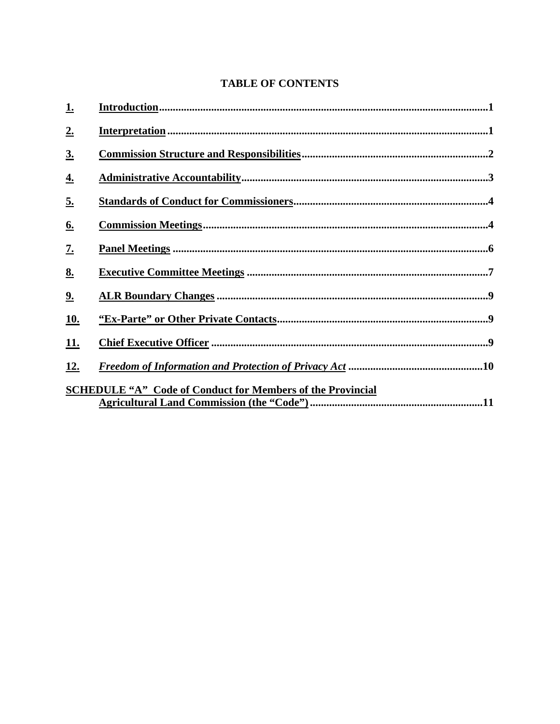## **TABLE OF CONTENTS**

| <u>1.</u>         |                                                                                        |
|-------------------|----------------------------------------------------------------------------------------|
| 2.                |                                                                                        |
| $\underline{3}$ . |                                                                                        |
| <u>4.</u>         |                                                                                        |
| <u>5.</u>         |                                                                                        |
| <u>6.</u>         |                                                                                        |
| $\underline{7}$ . |                                                                                        |
| 8.                |                                                                                        |
| 2.                |                                                                                        |
| <u>10.</u>        |                                                                                        |
| <u>11.</u>        |                                                                                        |
| <u>12.</u>        | <u>Freedom of Information and Protection of Privacy Act manumeral measurements.</u> 10 |
|                   | <b>SCHEDULE "A"</b> Code of Conduct for Members of the Provincial                      |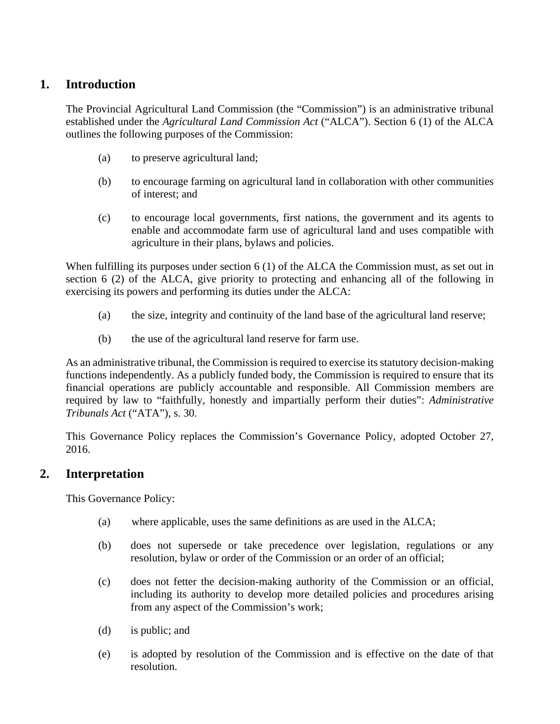## <span id="page-2-0"></span>**1. Introduction**

The Provincial Agricultural Land Commission (the "Commission") is an administrative tribunal established under the *Agricultural Land Commission Act* ("ALCA"). Section 6 (1) of the ALCA outlines the following purposes of the Commission:

- (a) to preserve agricultural land;
- (b) to encourage farming on agricultural land in collaboration with other communities of interest; and
- (c) to encourage local governments, first nations, the government and its agents to enable and accommodate farm use of agricultural land and uses compatible with agriculture in their plans, bylaws and policies.

When fulfilling its purposes under section 6 (1) of the ALCA the Commission must, as set out in section 6 (2) of the ALCA, give priority to protecting and enhancing all of the following in exercising its powers and performing its duties under the ALCA:

- (a) the size, integrity and continuity of the land base of the agricultural land reserve;
- (b) the use of the agricultural land reserve for farm use.

As an administrative tribunal, the Commission is required to exercise its statutory decision-making functions independently. As a publicly funded body, the Commission is required to ensure that its financial operations are publicly accountable and responsible. All Commission members are required by law to "faithfully, honestly and impartially perform their duties": *Administrative Tribunals Act* ("ATA"), s. 30.

This Governance Policy replaces the Commission's Governance Policy, adopted October 27, 2016.

## <span id="page-2-1"></span>**2. Interpretation**

This Governance Policy:

- (a) where applicable, uses the same definitions as are used in the ALCA;
- (b) does not supersede or take precedence over legislation, regulations or any resolution, bylaw or order of the Commission or an order of an official;
- (c) does not fetter the decision-making authority of the Commission or an official, including its authority to develop more detailed policies and procedures arising from any aspect of the Commission's work;
- (d) is public; and
- (e) is adopted by resolution of the Commission and is effective on the date of that resolution.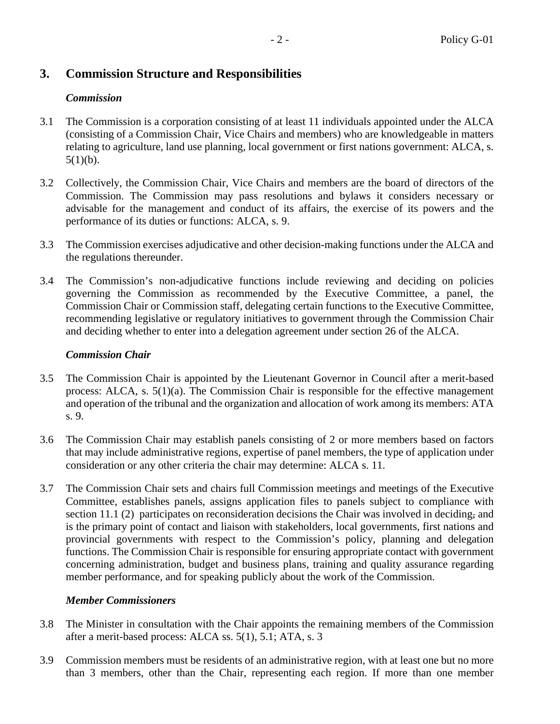## <span id="page-3-0"></span>**3. Commission Structure and Responsibilities**

## *Commission*

- 3.1 The Commission is a corporation consisting of at least 11 individuals appointed under the ALCA (consisting of a Commission Chair, Vice Chairs and members) who are knowledgeable in matters relating to agriculture, land use planning, local government or first nations government: ALCA, s.  $5(1)(b)$ .
- 3.2 Collectively, the Commission Chair, Vice Chairs and members are the board of directors of the Commission. The Commission may pass resolutions and bylaws it considers necessary or advisable for the management and conduct of its affairs, the exercise of its powers and the performance of its duties or functions: ALCA, s. 9.
- 3.3 The Commission exercises adjudicative and other decision-making functions under the ALCA and the regulations thereunder.
- 3.4 The Commission's non-adjudicative functions include reviewing and deciding on policies governing the Commission as recommended by the Executive Committee, a panel, the Commission Chair or Commission staff, delegating certain functions to the Executive Committee, recommending legislative or regulatory initiatives to government through the Commission Chair and deciding whether to enter into a delegation agreement under section 26 of the ALCA.

#### *Commission Chair*

- 3.5 The Commission Chair is appointed by the Lieutenant Governor in Council after a merit-based process: ALCA, s. 5(1)(a). The Commission Chair is responsible for the effective management and operation of the tribunal and the organization and allocation of work among its members: ATA s. 9.
- 3.6 The Commission Chair may establish panels consisting of 2 or more members based on factors that may include administrative regions, expertise of panel members, the type of application under consideration or any other criteria the chair may determine: ALCA s. 11.
- 3.7 The Commission Chair sets and chairs full Commission meetings and meetings of the Executive Committee, establishes panels, assigns application files to panels subject to compliance with section 11.1 (2) participates on reconsideration decisions the Chair was involved in deciding, and is the primary point of contact and liaison with stakeholders, local governments, first nations and provincial governments with respect to the Commission's policy, planning and delegation functions. The Commission Chair is responsible for ensuring appropriate contact with government concerning administration, budget and business plans, training and quality assurance regarding member performance, and for speaking publicly about the work of the Commission.

#### *Member Commissioners*

- 3.8 The Minister in consultation with the Chair appoints the remaining members of the Commission after a merit-based process: ALCA ss. 5(1), 5.1; ATA, s. 3
- 3.9 Commission members must be residents of an administrative region, with at least one but no more than 3 members, other than the Chair, representing each region. If more than one member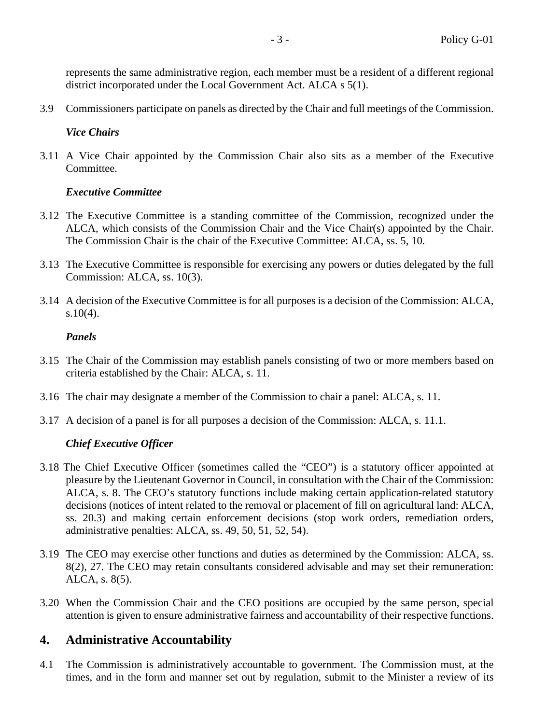represents the same administrative region, each member must be a resident of a different regional district incorporated under the Local Government Act. ALCA s 5(1).

3.9 Commissioners participate on panels as directed by the Chair and full meetings of the Commission.

#### *Vice Chairs*

3.11 A Vice Chair appointed by the Commission Chair also sits as a member of the Executive Committee.

#### *Executive Committee*

- 3.12 The Executive Committee is a standing committee of the Commission, recognized under the ALCA, which consists of the Commission Chair and the Vice Chair(s) appointed by the Chair. The Commission Chair is the chair of the Executive Committee: ALCA, ss. 5, 10.
- 3.13 The Executive Committee is responsible for exercising any powers or duties delegated by the full Commission: ALCA, ss. 10(3).
- 3.14 A decision of the Executive Committee is for all purposes is a decision of the Commission: ALCA,  $s.10(4)$ .

#### *Panels*

- 3.15 The Chair of the Commission may establish panels consisting of two or more members based on criteria established by the Chair: ALCA, s. 11.
- 3.16 The chair may designate a member of the Commission to chair a panel: ALCA, s. 11.
- 3.17 A decision of a panel is for all purposes a decision of the Commission: ALCA, s. 11.1.

## *Chief Executive Officer*

- <span id="page-4-1"></span>3.18 The Chief Executive Officer (sometimes called the "CEO") is a statutory officer appointed at pleasure by the Lieutenant Governor in Council, in consultation with the Chair of the Commission: ALCA, s. 8. The CEO's statutory functions include making certain application-related statutory decisions (notices of intent related to the removal or placement of fill on agricultural land: ALCA, ss. 20.3) and making certain enforcement decisions (stop work orders, remediation orders, administrative penalties: ALCA, ss. 49, 50, 51, 52, 54).
- 3.19 The CEO may exercise other functions and duties as determined by the Commission: ALCA, ss. 8(2), 27. The CEO may retain consultants considered advisable and may set their remuneration: ALCA, s. 8(5).
- 3.20 When the Commission Chair and the CEO positions are occupied by the same person, special attention is given to ensure administrative fairness and accountability of their respective functions.

## <span id="page-4-0"></span>**4. Administrative Accountability**

4.1 The Commission is administratively accountable to government. The Commission must, at the times, and in the form and manner set out by regulation, submit to the Minister a review of its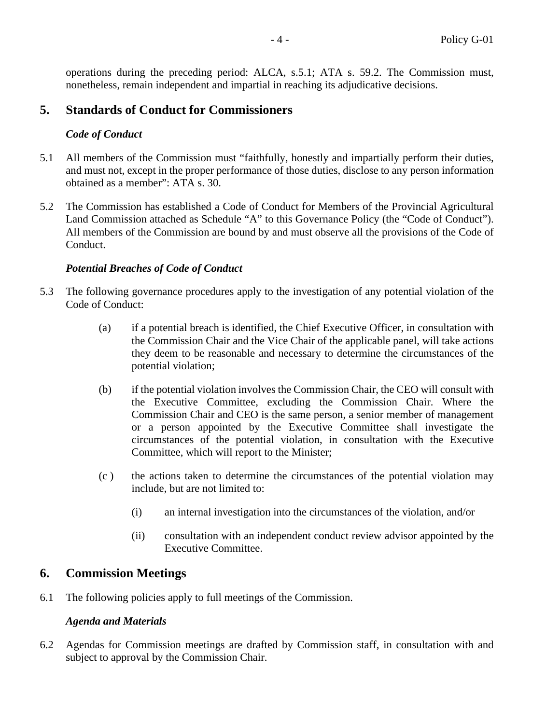operations during the preceding period: ALCA, s.5.1; ATA s. 59.2. The Commission must, nonetheless, remain independent and impartial in reaching its adjudicative decisions.

## <span id="page-5-0"></span>**5. Standards of Conduct for Commissioners**

## *Code of Conduct*

- 5.1 All members of the Commission must "faithfully, honestly and impartially perform their duties, and must not, except in the proper performance of those duties, disclose to any person information obtained as a member": ATA s. 30.
- 5.2 The Commission has established a Code of Conduct for Members of the Provincial Agricultural Land Commission attached as Schedule "A" to this Governance Policy (the "Code of Conduct"). All members of the Commission are bound by and must observe all the provisions of the Code of Conduct.

## *Potential Breaches of Code of Conduct*

- 5.3 The following governance procedures apply to the investigation of any potential violation of the Code of Conduct:
	- (a) if a potential breach is identified, the Chief Executive Officer, in consultation with the Commission Chair and the Vice Chair of the applicable panel, will take actions they deem to be reasonable and necessary to determine the circumstances of the potential violation;
	- (b) if the potential violation involves the Commission Chair, the CEO will consult with the Executive Committee, excluding the Commission Chair. Where the Commission Chair and CEO is the same person, a senior member of management or a person appointed by the Executive Committee shall investigate the circumstances of the potential violation, in consultation with the Executive Committee, which will report to the Minister;
	- (c ) the actions taken to determine the circumstances of the potential violation may include, but are not limited to:
		- (i) an internal investigation into the circumstances of the violation, and/or
		- (ii) consultation with an independent conduct review advisor appointed by the Executive Committee.

## <span id="page-5-1"></span>**6. Commission Meetings**

6.1 The following policies apply to full meetings of the Commission.

## *Agenda and Materials*

6.2 Agendas for Commission meetings are drafted by Commission staff, in consultation with and subject to approval by the Commission Chair.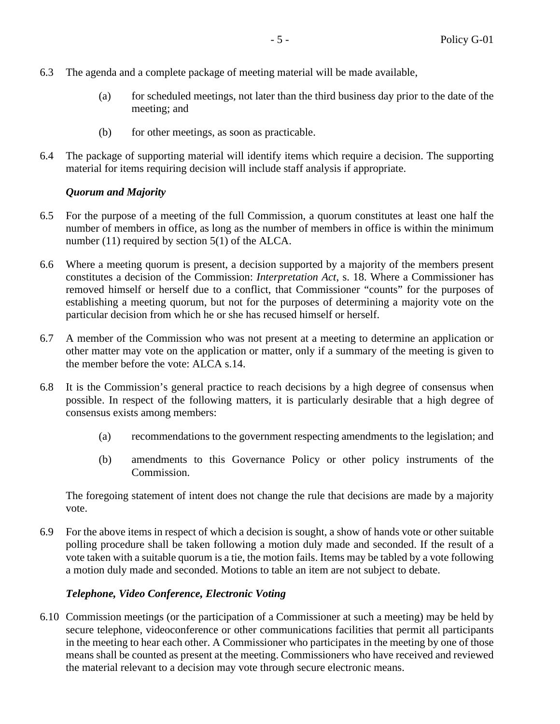- 6.3 The agenda and a complete package of meeting material will be made available,
	- (a) for scheduled meetings, not later than the third business day prior to the date of the meeting; and
	- (b) for other meetings, as soon as practicable.
- 6.4 The package of supporting material will identify items which require a decision. The supporting material for items requiring decision will include staff analysis if appropriate.

#### *Quorum and Majority*

- 6.5 For the purpose of a meeting of the full Commission, a quorum constitutes at least one half the number of members in office, as long as the number of members in office is within the minimum number (11) required by section 5(1) of the ALCA.
- 6.6 Where a meeting quorum is present, a decision supported by a majority of the members present constitutes a decision of the Commission: *Interpretation Act*, s. 18. Where a Commissioner has removed himself or herself due to a conflict, that Commissioner "counts" for the purposes of establishing a meeting quorum, but not for the purposes of determining a majority vote on the particular decision from which he or she has recused himself or herself.
- 6.7 A member of the Commission who was not present at a meeting to determine an application or other matter may vote on the application or matter, only if a summary of the meeting is given to the member before the vote: ALCA s.14.
- 6.8 It is the Commission's general practice to reach decisions by a high degree of consensus when possible. In respect of the following matters, it is particularly desirable that a high degree of consensus exists among members:
	- (a) recommendations to the government respecting amendments to the legislation; and
	- (b) amendments to this Governance Policy or other policy instruments of the Commission.

The foregoing statement of intent does not change the rule that decisions are made by a majority vote.

6.9 For the above items in respect of which a decision is sought, a show of hands vote or other suitable polling procedure shall be taken following a motion duly made and seconded. If the result of a vote taken with a suitable quorum is a tie, the motion fails. Items may be tabled by a vote following a motion duly made and seconded. Motions to table an item are not subject to debate.

#### *Telephone, Video Conference, Electronic Voting*

6.10 Commission meetings (or the participation of a Commissioner at such a meeting) may be held by secure telephone, videoconference or other communications facilities that permit all participants in the meeting to hear each other. A Commissioner who participates in the meeting by one of those means shall be counted as present at the meeting. Commissioners who have received and reviewed the material relevant to a decision may vote through secure electronic means.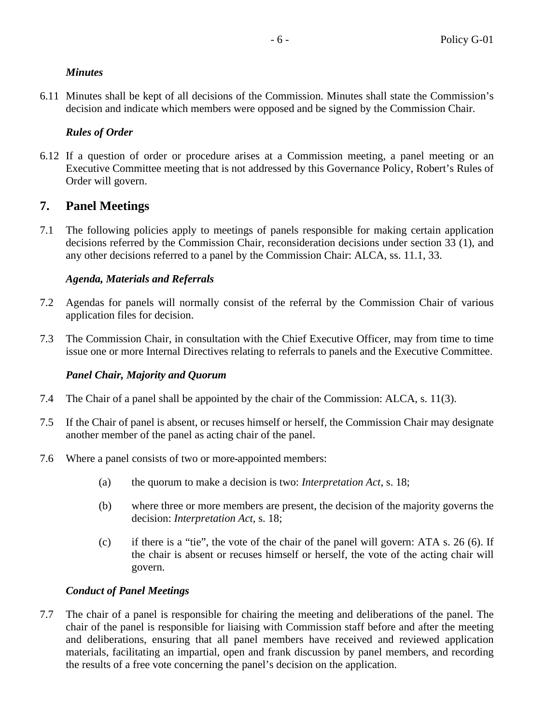## *Minutes*

6.11 Minutes shall be kept of all decisions of the Commission. Minutes shall state the Commission's decision and indicate which members were opposed and be signed by the Commission Chair.

## *Rules of Order*

<span id="page-7-2"></span>6.12 If a question of order or procedure arises at a Commission meeting, a panel meeting or an Executive Committee meeting that is not addressed by this Governance Policy, Robert's Rules of Order will govern.

# <span id="page-7-0"></span>**7. Panel Meetings**

7.1 The following policies apply to meetings of panels responsible for making certain application decisions referred by the Commission Chair, reconsideration decisions under section 33 (1), and any other decisions referred to a panel by the Commission Chair: ALCA, ss. 11.1, 33.

## *Agenda, Materials and Referrals*

- 7.2 Agendas for panels will normally consist of the referral by the Commission Chair of various application files for decision.
- 7.3 The Commission Chair, in consultation with the Chief Executive Officer, may from time to time issue one or more Internal Directives relating to referrals to panels and the Executive Committee.

## *Panel Chair, Majority and Quorum*

- 7.4 The Chair of a panel shall be appointed by the chair of the Commission: ALCA, s. 11(3).
- <span id="page-7-1"></span>7.5 If the Chair of panel is absent, or recuses himself or herself, the Commission Chair may designate another member of the panel as acting chair of the panel.
- 7.6 Where a panel consists of two or more appointed members:
	- (a) the quorum to make a decision is two: *Interpretation Act*, s. 18;
	- (b) where three or more members are present, the decision of the majority governs the decision: *Interpretation Act*, s. 18;
	- (c) if there is a "tie", the vote of the chair of the panel will govern: ATA s. 26 (6). If the chair is absent or recuses himself or herself, the vote of the acting chair will govern.

## *Conduct of Panel Meetings*

7.7 The chair of a panel is responsible for chairing the meeting and deliberations of the panel. The chair of the panel is responsible for liaising with Commission staff before and after the meeting and deliberations, ensuring that all panel members have received and reviewed application materials, facilitating an impartial, open and frank discussion by panel members, and recording the results of a free vote concerning the panel's decision on the application.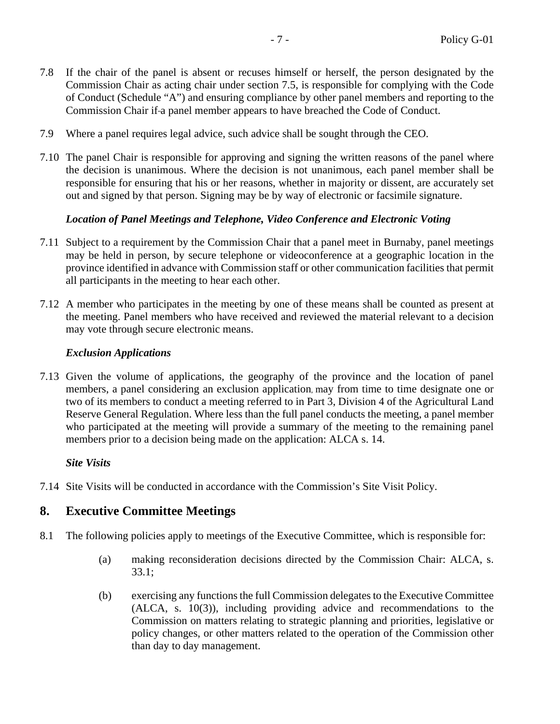- 7.8 If the chair of the panel is absent or recuses himself or herself, the person designated by the Commission Chair as acting chair under section [7.5,](#page-7-1) is responsible for complying with the Code of Conduct (Schedule "A") and ensuring compliance by other panel members and reporting to the Commission Chair if a panel member appears to have breached the Code of Conduct.
- 7.9 Where a panel requires legal advice, such advice shall be sought through the CEO.
- 7.10 The panel Chair is responsible for approving and signing the written reasons of the panel where the decision is unanimous. Where the decision is not unanimous, each panel member shall be responsible for ensuring that his or her reasons, whether in majority or dissent, are accurately set out and signed by that person. Signing may be by way of electronic or facsimile signature.

#### *Location of Panel Meetings and Telephone, Video Conference and Electronic Voting*

- 7.11 Subject to a requirement by the Commission Chair that a panel meet in Burnaby, panel meetings may be held in person, by secure telephone or videoconference at a geographic location in the province identified in advance with Commission staff or other communication facilities that permit all participants in the meeting to hear each other.
- 7.12 A member who participates in the meeting by one of these means shall be counted as present at the meeting. Panel members who have received and reviewed the material relevant to a decision may vote through secure electronic means.

#### *Exclusion Applications*

7.13 Given the volume of applications, the geography of the province and the location of panel members, a panel considering an exclusion application, may from time to time designate one or two of its members to conduct a meeting referred to in Part 3, Division 4 of the Agricultural Land Reserve General Regulation. Where less than the full panel conducts the meeting, a panel member who participated at the meeting will provide a summary of the meeting to the remaining panel members prior to a decision being made on the application: ALCA s. 14.

#### *Site Visits*

<span id="page-8-0"></span>7.14 Site Visits will be conducted in accordance with the Commission's Site Visit Policy.

## **8. Executive Committee Meetings**

- 8.1 The following policies apply to meetings of the Executive Committee, which is responsible for:
	- (a) making reconsideration decisions directed by the Commission Chair: ALCA, s. 33.1;
	- (b) exercising any functions the full Commission delegates to the Executive Committee (ALCA, s. 10(3)), including providing advice and recommendations to the Commission on matters relating to strategic planning and priorities, legislative or policy changes, or other matters related to the operation of the Commission other than day to day management.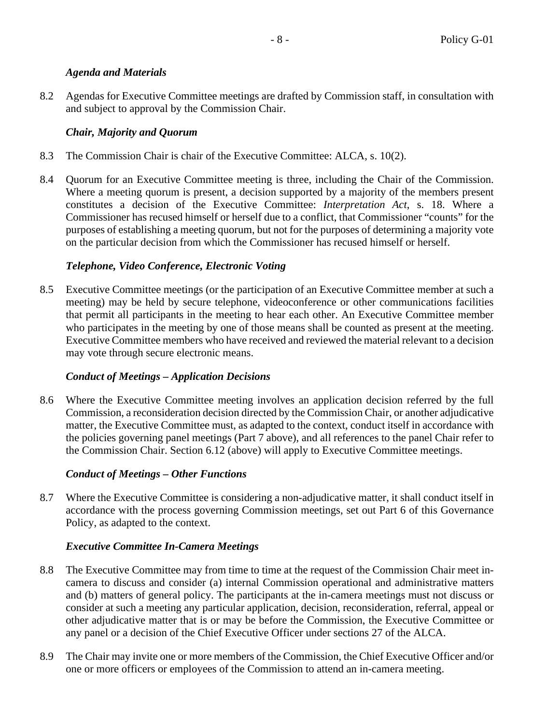## *Agenda and Materials*

8.2 Agendas for Executive Committee meetings are drafted by Commission staff, in consultation with and subject to approval by the Commission Chair.

## *Chair, Majority and Quorum*

- 8.3 The Commission Chair is chair of the Executive Committee: ALCA, s. 10(2).
- 8.4 Quorum for an Executive Committee meeting is three, including the Chair of the Commission. Where a meeting quorum is present, a decision supported by a majority of the members present constitutes a decision of the Executive Committee: *Interpretation Act*, s. 18. Where a Commissioner has recused himself or herself due to a conflict, that Commissioner "counts" for the purposes of establishing a meeting quorum, but not for the purposes of determining a majority vote on the particular decision from which the Commissioner has recused himself or herself.

## *Telephone, Video Conference, Electronic Voting*

8.5 Executive Committee meetings (or the participation of an Executive Committee member at such a meeting) may be held by secure telephone, videoconference or other communications facilities that permit all participants in the meeting to hear each other. An Executive Committee member who participates in the meeting by one of those means shall be counted as present at the meeting. Executive Committee members who have received and reviewed the material relevant to a decision may vote through secure electronic means.

## *Conduct of Meetings – Application Decisions*

8.6 Where the Executive Committee meeting involves an application decision referred by the full Commission, a reconsideration decision directed by the Commission Chair, or another adjudicative matter, the Executive Committee must, as adapted to the context, conduct itself in accordance with the policies governing panel meetings (Part [7](#page-7-0) above), and all references to the panel Chair refer to the Commission Chair. Section [6.12](#page-7-2) (above) will apply to Executive Committee meetings.

## *Conduct of Meetings – Other Functions*

8.7 Where the Executive Committee is considering a non-adjudicative matter, it shall conduct itself in accordance with the process governing Commission meetings, set out Part [6](#page-5-1) of this Governance Policy, as adapted to the context.

## *Executive Committee In-Camera Meetings*

- 8.8 The Executive Committee may from time to time at the request of the Commission Chair meet incamera to discuss and consider (a) internal Commission operational and administrative matters and (b) matters of general policy. The participants at the in-camera meetings must not discuss or consider at such a meeting any particular application, decision, reconsideration, referral, appeal or other adjudicative matter that is or may be before the Commission, the Executive Committee or any panel or a decision of the Chief Executive Officer under sections 27 of the ALCA.
- 8.9 The Chair may invite one or more members of the Commission, the Chief Executive Officer and/or one or more officers or employees of the Commission to attend an in-camera meeting.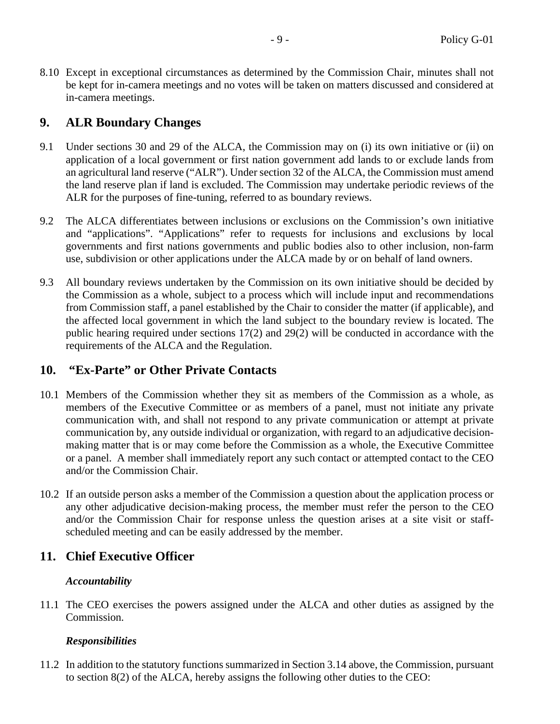8.10 Except in exceptional circumstances as determined by the Commission Chair, minutes shall not be kept for in-camera meetings and no votes will be taken on matters discussed and considered at in-camera meetings.

## <span id="page-10-0"></span>**9. ALR Boundary Changes**

- 9.1 Under sections 30 and 29 of the ALCA, the Commission may on (i) its own initiative or (ii) on application of a local government or first nation government add lands to or exclude lands from an agricultural land reserve ("ALR"). Under section 32 of the ALCA, the Commission must amend the land reserve plan if land is excluded. The Commission may undertake periodic reviews of the ALR for the purposes of fine-tuning, referred to as boundary reviews.
- 9.2 The ALCA differentiates between inclusions or exclusions on the Commission's own initiative and "applications". "Applications" refer to requests for inclusions and exclusions by local governments and first nations governments and public bodies also to other inclusion, non-farm use, subdivision or other applications under the ALCA made by or on behalf of land owners.
- 9.3 All boundary reviews undertaken by the Commission on its own initiative should be decided by the Commission as a whole, subject to a process which will include input and recommendations from Commission staff, a panel established by the Chair to consider the matter (if applicable), and the affected local government in which the land subject to the boundary review is located. The public hearing required under sections 17(2) and 29(2) will be conducted in accordance with the requirements of the ALCA and the Regulation.

## <span id="page-10-1"></span>**10. "Ex-Parte" or Other Private Contacts**

- 10.1 Members of the Commission whether they sit as members of the Commission as a whole, as members of the Executive Committee or as members of a panel, must not initiate any private communication with, and shall not respond to any private communication or attempt at private communication by, any outside individual or organization, with regard to an adjudicative decisionmaking matter that is or may come before the Commission as a whole, the Executive Committee or a panel. A member shall immediately report any such contact or attempted contact to the CEO and/or the Commission Chair.
- 10.2 If an outside person asks a member of the Commission a question about the application process or any other adjudicative decision-making process, the member must refer the person to the CEO and/or the Commission Chair for response unless the question arises at a site visit or staffscheduled meeting and can be easily addressed by the member.

## <span id="page-10-2"></span>**11. Chief Executive Officer**

## *Accountability*

11.1 The CEO exercises the powers assigned under the ALCA and other duties as assigned by the Commission.

## *Responsibilities*

11.2 In addition to the statutory functions summarized in Section [3.14](#page-4-1) above, the Commission, pursuant to section 8(2) of the ALCA, hereby assigns the following other duties to the CEO: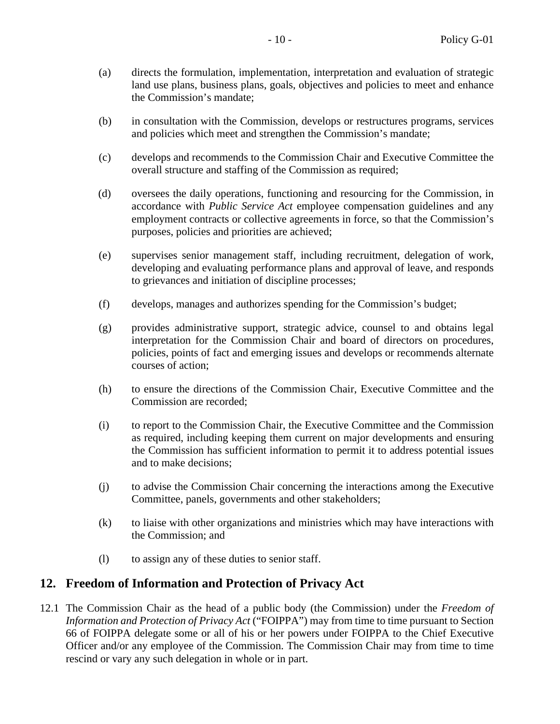- (a) directs the formulation, implementation, interpretation and evaluation of strategic land use plans, business plans, goals, objectives and policies to meet and enhance the Commission's mandate;
- (b) in consultation with the Commission, develops or restructures programs, services and policies which meet and strengthen the Commission's mandate;
- (c) develops and recommends to the Commission Chair and Executive Committee the overall structure and staffing of the Commission as required;
- (d) oversees the daily operations, functioning and resourcing for the Commission, in accordance with *Public Service Act* employee compensation guidelines and any employment contracts or collective agreements in force, so that the Commission's purposes, policies and priorities are achieved;
- (e) supervises senior management staff, including recruitment, delegation of work, developing and evaluating performance plans and approval of leave, and responds to grievances and initiation of discipline processes;
- (f) develops, manages and authorizes spending for the Commission's budget;
- (g) provides administrative support, strategic advice, counsel to and obtains legal interpretation for the Commission Chair and board of directors on procedures, policies, points of fact and emerging issues and develops or recommends alternate courses of action;
- (h) to ensure the directions of the Commission Chair, Executive Committee and the Commission are recorded;
- (i) to report to the Commission Chair, the Executive Committee and the Commission as required, including keeping them current on major developments and ensuring the Commission has sufficient information to permit it to address potential issues and to make decisions;
- (j) to advise the Commission Chair concerning the interactions among the Executive Committee, panels, governments and other stakeholders;
- (k) to liaise with other organizations and ministries which may have interactions with the Commission; and
- (l) to assign any of these duties to senior staff.

## <span id="page-11-0"></span>**12. Freedom of Information and Protection of Privacy Act**

12.1 The Commission Chair as the head of a public body (the Commission) under the *Freedom of Information and Protection of Privacy Act* ("FOIPPA") may from time to time pursuant to Section 66 of FOIPPA delegate some or all of his or her powers under FOIPPA to the Chief Executive Officer and/or any employee of the Commission. The Commission Chair may from time to time rescind or vary any such delegation in whole or in part.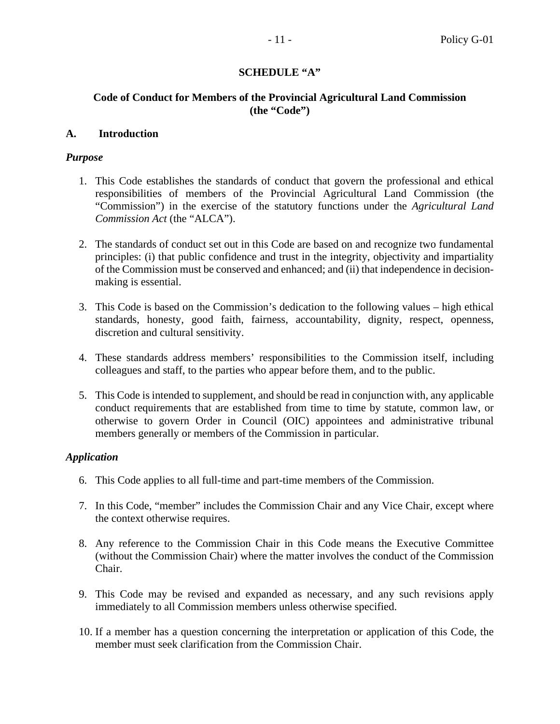#### **SCHEDULE "A"**

#### <span id="page-12-0"></span>**Code of Conduct for Members of the Provincial Agricultural Land Commission (the "Code")**

#### **A. Introduction**

#### *Purpose*

- 1. This Code establishes the standards of conduct that govern the professional and ethical responsibilities of members of the Provincial Agricultural Land Commission (the "Commission") in the exercise of the statutory functions under the *Agricultural Land Commission Act* (the "ALCA").
- 2. The standards of conduct set out in this Code are based on and recognize two fundamental principles: (i) that public confidence and trust in the integrity, objectivity and impartiality of the Commission must be conserved and enhanced; and (ii) that independence in decisionmaking is essential.
- 3. This Code is based on the Commission's dedication to the following values high ethical standards, honesty, good faith, fairness, accountability, dignity, respect, openness, discretion and cultural sensitivity.
- 4. These standards address members' responsibilities to the Commission itself, including colleagues and staff, to the parties who appear before them, and to the public.
- 5. This Code is intended to supplement, and should be read in conjunction with, any applicable conduct requirements that are established from time to time by statute, common law, or otherwise to govern Order in Council (OIC) appointees and administrative tribunal members generally or members of the Commission in particular.

#### *Application*

- 6. This Code applies to all full-time and part-time members of the Commission.
- 7. In this Code, "member" includes the Commission Chair and any Vice Chair, except where the context otherwise requires.
- 8. Any reference to the Commission Chair in this Code means the Executive Committee (without the Commission Chair) where the matter involves the conduct of the Commission Chair.
- 9. This Code may be revised and expanded as necessary, and any such revisions apply immediately to all Commission members unless otherwise specified.
- 10. If a member has a question concerning the interpretation or application of this Code, the member must seek clarification from the Commission Chair.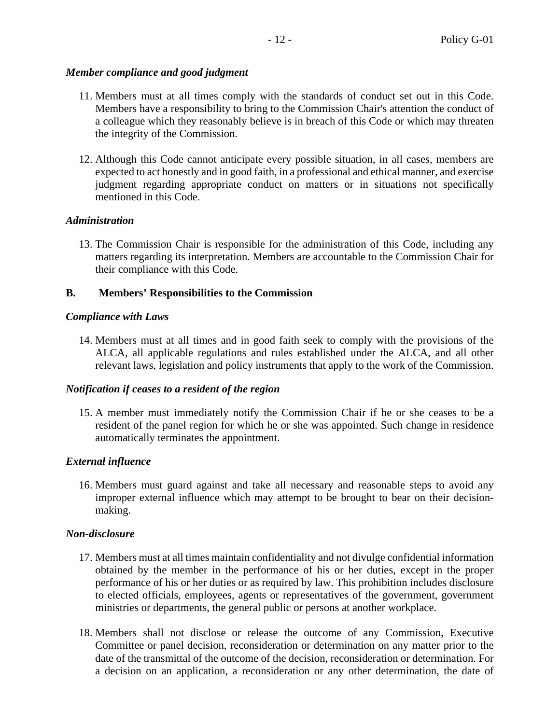## *Member compliance and good judgment*

- 11. Members must at all times comply with the standards of conduct set out in this Code. Members have a responsibility to bring to the Commission Chair's attention the conduct of a colleague which they reasonably believe is in breach of this Code or which may threaten the integrity of the Commission.
- 12. Although this Code cannot anticipate every possible situation, in all cases, members are expected to act honestly and in good faith, in a professional and ethical manner, and exercise judgment regarding appropriate conduct on matters or in situations not specifically mentioned in this Code.

# *Administration*

13. The Commission Chair is responsible for the administration of this Code, including any matters regarding its interpretation. Members are accountable to the Commission Chair for their compliance with this Code.

# **B. Members' Responsibilities to the Commission**

# *Compliance with Laws*

14. Members must at all times and in good faith seek to comply with the provisions of the ALCA, all applicable regulations and rules established under the ALCA, and all other relevant laws, legislation and policy instruments that apply to the work of the Commission.

## *Notification if ceases to a resident of the region*

15. A member must immediately notify the Commission Chair if he or she ceases to be a resident of the panel region for which he or she was appointed. Such change in residence automatically terminates the appointment.

# *External influence*

16. Members must guard against and take all necessary and reasonable steps to avoid any improper external influence which may attempt to be brought to bear on their decisionmaking.

# *Non-disclosure*

- 17. Members must at all times maintain confidentiality and not divulge confidential information obtained by the member in the performance of his or her duties, except in the proper performance of his or her duties or as required by law. This prohibition includes disclosure to elected officials, employees, agents or representatives of the government, government ministries or departments, the general public or persons at another workplace.
- 18. Members shall not disclose or release the outcome of any Commission, Executive Committee or panel decision, reconsideration or determination on any matter prior to the date of the transmittal of the outcome of the decision, reconsideration or determination. For a decision on an application, a reconsideration or any other determination, the date of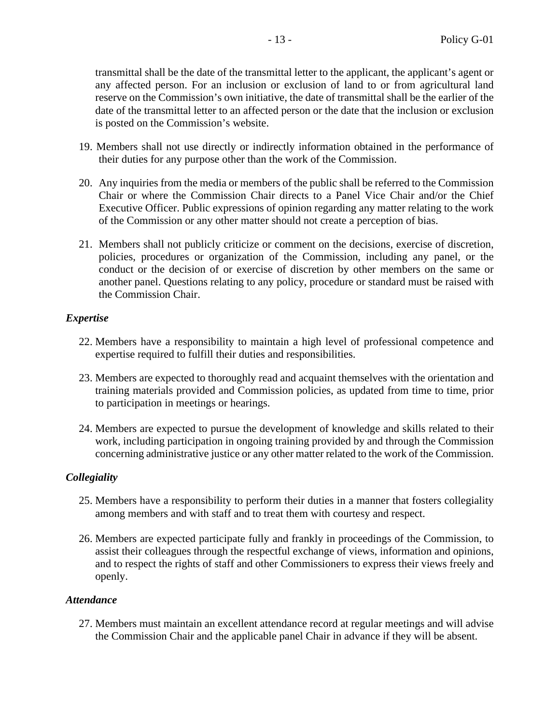transmittal shall be the date of the transmittal letter to the applicant, the applicant's agent or any affected person. For an inclusion or exclusion of land to or from agricultural land reserve on the Commission's own initiative, the date of transmittal shall be the earlier of the date of the transmittal letter to an affected person or the date that the inclusion or exclusion is posted on the Commission's website.

- 19. Members shall not use directly or indirectly information obtained in the performance of their duties for any purpose other than the work of the Commission.
- 20. Any inquiries from the media or members of the public shall be referred to the Commission Chair or where the Commission Chair directs to a Panel Vice Chair and/or the Chief Executive Officer. Public expressions of opinion regarding any matter relating to the work of the Commission or any other matter should not create a perception of bias.
- 21. Members shall not publicly criticize or comment on the decisions, exercise of discretion, policies, procedures or organization of the Commission, including any panel, or the conduct or the decision of or exercise of discretion by other members on the same or another panel. Questions relating to any policy, procedure or standard must be raised with the Commission Chair.

#### *Expertise*

- 22. Members have a responsibility to maintain a high level of professional competence and expertise required to fulfill their duties and responsibilities.
- 23. Members are expected to thoroughly read and acquaint themselves with the orientation and training materials provided and Commission policies, as updated from time to time, prior to participation in meetings or hearings.
- 24. Members are expected to pursue the development of knowledge and skills related to their work, including participation in ongoing training provided by and through the Commission concerning administrative justice or any other matter related to the work of the Commission.

#### *Collegiality*

- 25. Members have a responsibility to perform their duties in a manner that fosters collegiality among members and with staff and to treat them with courtesy and respect.
- 26. Members are expected participate fully and frankly in proceedings of the Commission, to assist their colleagues through the respectful exchange of views, information and opinions, and to respect the rights of staff and other Commissioners to express their views freely and openly.

#### *Attendance*

27. Members must maintain an excellent attendance record at regular meetings and will advise the Commission Chair and the applicable panel Chair in advance if they will be absent.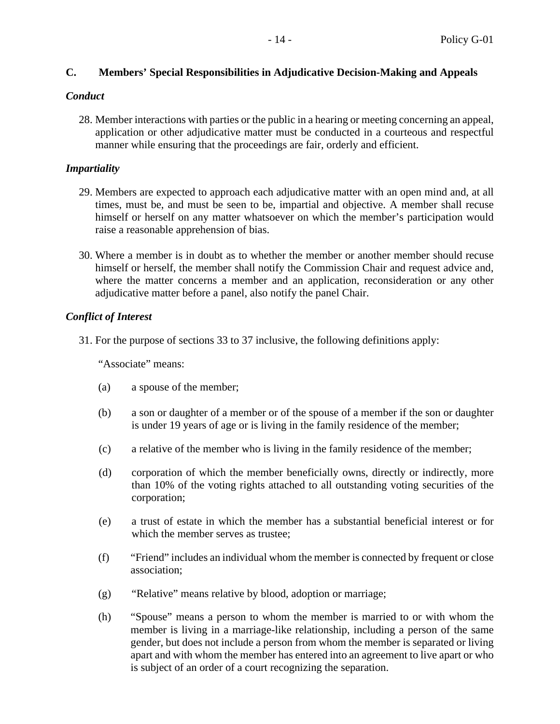## **C. Members' Special Responsibilities in Adjudicative Decision-Making and Appeals**

#### *Conduct*

28. Member interactions with parties or the public in a hearing or meeting concerning an appeal, application or other adjudicative matter must be conducted in a courteous and respectful manner while ensuring that the proceedings are fair, orderly and efficient.

#### *Impartiality*

- 29. Members are expected to approach each adjudicative matter with an open mind and, at all times, must be, and must be seen to be, impartial and objective. A member shall recuse himself or herself on any matter whatsoever on which the member's participation would raise a reasonable apprehension of bias.
- 30. Where a member is in doubt as to whether the member or another member should recuse himself or herself, the member shall notify the Commission Chair and request advice and, where the matter concerns a member and an application, reconsideration or any other adjudicative matter before a panel, also notify the panel Chair.

#### *Conflict of Interest*

31. For the purpose of sections 33 to 37 inclusive, the following definitions apply:

"Associate" means:

- (a) a spouse of the member;
- (b) a son or daughter of a member or of the spouse of a member if the son or daughter is under 19 years of age or is living in the family residence of the member;
- (c) a relative of the member who is living in the family residence of the member;
- (d) corporation of which the member beneficially owns, directly or indirectly, more than 10% of the voting rights attached to all outstanding voting securities of the corporation;
- (e) a trust of estate in which the member has a substantial beneficial interest or for which the member serves as trustee;
- (f) "Friend" includes an individual whom the member is connected by frequent or close association;
- (g) "Relative" means relative by blood, adoption or marriage;
- (h) "Spouse" means a person to whom the member is married to or with whom the member is living in a marriage-like relationship, including a person of the same gender, but does not include a person from whom the member is separated or living apart and with whom the member has entered into an agreement to live apart or who is subject of an order of a court recognizing the separation.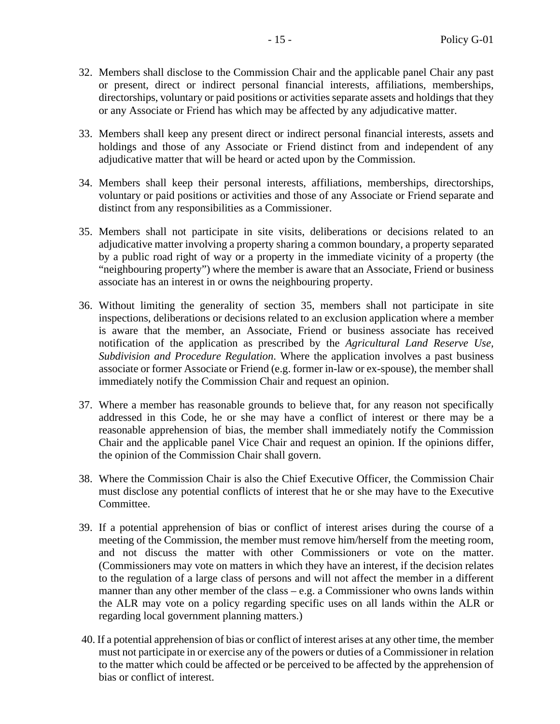- 32. Members shall disclose to the Commission Chair and the applicable panel Chair any past or present, direct or indirect personal financial interests, affiliations, memberships, directorships, voluntary or paid positions or activities separate assets and holdings that they or any Associate or Friend has which may be affected by any adjudicative matter.
- 33. Members shall keep any present direct or indirect personal financial interests, assets and holdings and those of any Associate or Friend distinct from and independent of any adjudicative matter that will be heard or acted upon by the Commission.
- 34. Members shall keep their personal interests, affiliations, memberships, directorships, voluntary or paid positions or activities and those of any Associate or Friend separate and distinct from any responsibilities as a Commissioner.
- <span id="page-16-0"></span>35. Members shall not participate in site visits, deliberations or decisions related to an adjudicative matter involving a property sharing a common boundary, a property separated by a public road right of way or a property in the immediate vicinity of a property (the "neighbouring property") where the member is aware that an Associate, Friend or business associate has an interest in or owns the neighbouring property.
- 36. Without limiting the generality of section [35,](#page-16-0) members shall not participate in site inspections, deliberations or decisions related to an exclusion application where a member is aware that the member, an Associate, Friend or business associate has received notification of the application as prescribed by the *Agricultural Land Reserve Use, Subdivision and Procedure Regulation*. Where the application involves a past business associate or former Associate or Friend (e.g. former in-law or ex-spouse), the member shall immediately notify the Commission Chair and request an opinion.
- 37. Where a member has reasonable grounds to believe that, for any reason not specifically addressed in this Code, he or she may have a conflict of interest or there may be a reasonable apprehension of bias, the member shall immediately notify the Commission Chair and the applicable panel Vice Chair and request an opinion. If the opinions differ, the opinion of the Commission Chair shall govern.
- 38. Where the Commission Chair is also the Chief Executive Officer, the Commission Chair must disclose any potential conflicts of interest that he or she may have to the Executive Committee.
- 39. If a potential apprehension of bias or conflict of interest arises during the course of a meeting of the Commission, the member must remove him/herself from the meeting room, and not discuss the matter with other Commissioners or vote on the matter. (Commissioners may vote on matters in which they have an interest, if the decision relates to the regulation of a large class of persons and will not affect the member in a different manner than any other member of the class – e.g. a Commissioner who owns lands within the ALR may vote on a policy regarding specific uses on all lands within the ALR or regarding local government planning matters.)
- 40. If a potential apprehension of bias or conflict of interest arises at any other time, the member must not participate in or exercise any of the powers or duties of a Commissioner in relation to the matter which could be affected or be perceived to be affected by the apprehension of bias or conflict of interest.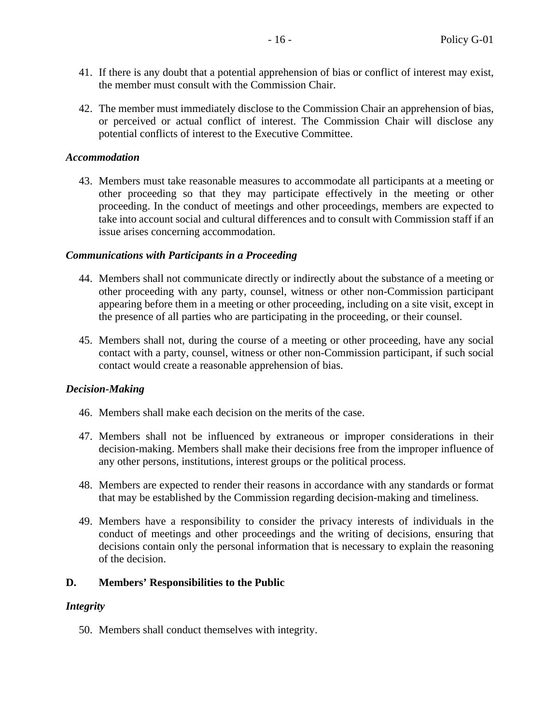- 41. If there is any doubt that a potential apprehension of bias or conflict of interest may exist, the member must consult with the Commission Chair.
- 42. The member must immediately disclose to the Commission Chair an apprehension of bias, or perceived or actual conflict of interest. The Commission Chair will disclose any potential conflicts of interest to the Executive Committee.

#### *Accommodation*

43. Members must take reasonable measures to accommodate all participants at a meeting or other proceeding so that they may participate effectively in the meeting or other proceeding. In the conduct of meetings and other proceedings, members are expected to take into account social and cultural differences and to consult with Commission staff if an issue arises concerning accommodation.

#### *Communications with Participants in a Proceeding*

- 44. Members shall not communicate directly or indirectly about the substance of a meeting or other proceeding with any party, counsel, witness or other non-Commission participant appearing before them in a meeting or other proceeding, including on a site visit, except in the presence of all parties who are participating in the proceeding, or their counsel.
- 45. Members shall not, during the course of a meeting or other proceeding, have any social contact with a party, counsel, witness or other non-Commission participant, if such social contact would create a reasonable apprehension of bias.

#### *Decision-Making*

- 46. Members shall make each decision on the merits of the case.
- 47. Members shall not be influenced by extraneous or improper considerations in their decision-making. Members shall make their decisions free from the improper influence of any other persons, institutions, interest groups or the political process.
- 48. Members are expected to render their reasons in accordance with any standards or format that may be established by the Commission regarding decision-making and timeliness.
- 49. Members have a responsibility to consider the privacy interests of individuals in the conduct of meetings and other proceedings and the writing of decisions, ensuring that decisions contain only the personal information that is necessary to explain the reasoning of the decision.

#### **D. Members' Responsibilities to the Public**

#### *Integrity*

50. Members shall conduct themselves with integrity.